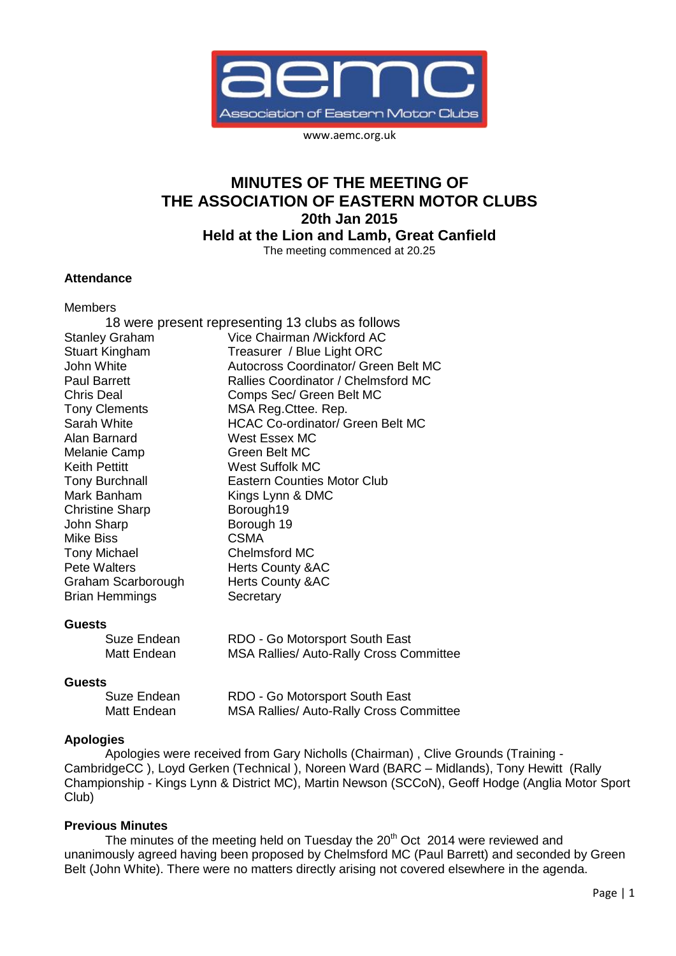

www.aemc.org.uk

# **MINUTES OF THE MEETING OF THE ASSOCIATION OF EASTERN MOTOR CLUBS 20th Jan 2015 Held at the Lion and Lamb, Great Canfield**

The meeting commenced at 20.25

### **Attendance**

Members

|                        | 18 were present representing 13 clubs as follows |
|------------------------|--------------------------------------------------|
| <b>Stanley Graham</b>  | Vice Chairman / Wickford AC                      |
| <b>Stuart Kingham</b>  | Treasurer / Blue Light ORC                       |
| John White             | Autocross Coordinator/ Green Belt MC             |
| <b>Paul Barrett</b>    | Rallies Coordinator / Chelmsford MC              |
| <b>Chris Deal</b>      | Comps Sec/ Green Belt MC                         |
| <b>Tony Clements</b>   | MSA Reg. Cttee. Rep.                             |
| Sarah White            | <b>HCAC Co-ordinator/ Green Belt MC</b>          |
| Alan Barnard           | West Essex MC                                    |
| Melanie Camp           | Green Belt MC                                    |
| <b>Keith Pettitt</b>   | <b>West Suffolk MC</b>                           |
| <b>Tony Burchnall</b>  | <b>Eastern Counties Motor Club</b>               |
| Mark Banham            | Kings Lynn & DMC                                 |
| <b>Christine Sharp</b> | Borough19                                        |
| John Sharp             | Borough 19                                       |
| <b>Mike Biss</b>       | <b>CSMA</b>                                      |
| <b>Tony Michael</b>    | <b>Chelmsford MC</b>                             |
| <b>Pete Walters</b>    | <b>Herts County &amp;AC</b>                      |
| Graham Scarborough     | <b>Herts County &amp;AC</b>                      |
| <b>Brian Hemmings</b>  | Secretary                                        |
|                        |                                                  |
| <b>Guests</b>          |                                                  |
|                        | ---<br>$\sim$ $\sim$ $\sim$                      |

| Suze Endean | RDO - Go Motorsport South East                 |
|-------------|------------------------------------------------|
| Matt Endean | <b>MSA Rallies/ Auto-Rally Cross Committee</b> |

#### **Guests**

| Suze Endean | RDO - Go Motorsport South East                 |
|-------------|------------------------------------------------|
| Matt Endean | <b>MSA Rallies/ Auto-Rally Cross Committee</b> |

#### **Apologies**

Apologies were received from Gary Nicholls (Chairman) , Clive Grounds (Training - CambridgeCC ), Loyd Gerken (Technical ), Noreen Ward (BARC – Midlands), Tony Hewitt (Rally Championship - Kings Lynn & District MC), Martin Newson (SCCoN), Geoff Hodge (Anglia Motor Sport Club)

#### **Previous Minutes**

The minutes of the meeting held on Tuesday the  $20<sup>th</sup> Oct$  2014 were reviewed and unanimously agreed having been proposed by Chelmsford MC (Paul Barrett) and seconded by Green Belt (John White). There were no matters directly arising not covered elsewhere in the agenda.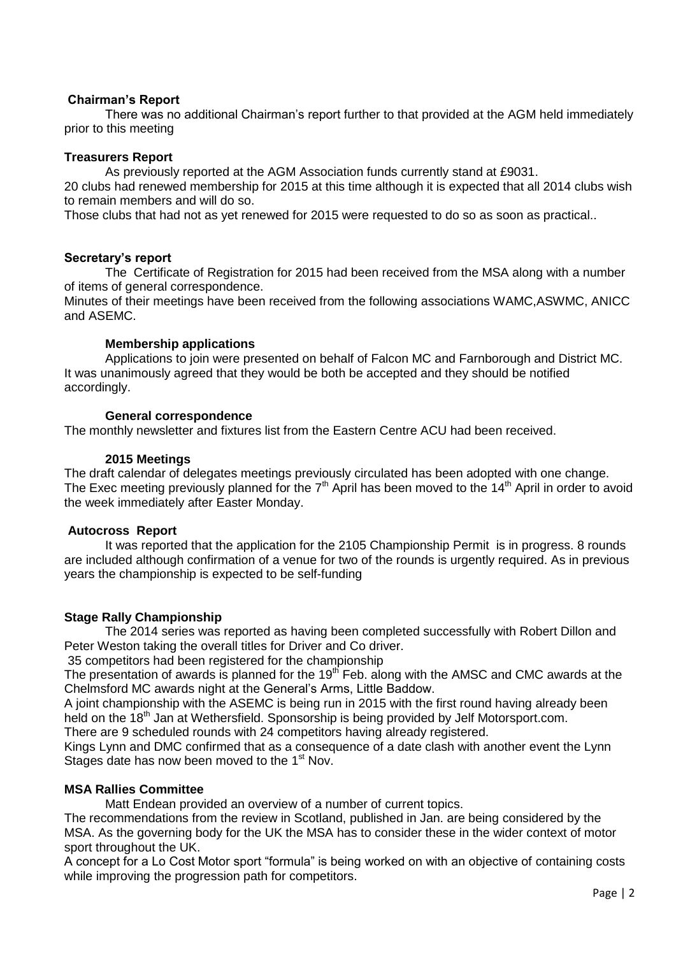# **Chairman's Report**

There was no additional Chairman's report further to that provided at the AGM held immediately prior to this meeting

# **Treasurers Report**

As previously reported at the AGM Association funds currently stand at £9031.

20 clubs had renewed membership for 2015 at this time although it is expected that all 2014 clubs wish to remain members and will do so.

Those clubs that had not as yet renewed for 2015 were requested to do so as soon as practical..

# **Secretary's report**

The Certificate of Registration for 2015 had been received from the MSA along with a number of items of general correspondence.

Minutes of their meetings have been received from the following associations WAMC,ASWMC, ANICC and ASEMC.

# **Membership applications**

Applications to join were presented on behalf of Falcon MC and Farnborough and District MC. It was unanimously agreed that they would be both be accepted and they should be notified accordingly.

# **General correspondence**

The monthly newsletter and fixtures list from the Eastern Centre ACU had been received.

# **2015 Meetings**

The draft calendar of delegates meetings previously circulated has been adopted with one change. The Exec meeting previously planned for the  $7<sup>th</sup>$  April has been moved to the 14<sup>th</sup> April in order to avoid the week immediately after Easter Monday.

# **Autocross Report**

It was reported that the application for the 2105 Championship Permit is in progress. 8 rounds are included although confirmation of a venue for two of the rounds is urgently required. As in previous years the championship is expected to be self-funding

# **Stage Rally Championship**

The 2014 series was reported as having been completed successfully with Robert Dillon and Peter Weston taking the overall titles for Driver and Co driver.

35 competitors had been registered for the championship

The presentation of awards is planned for the 19<sup>th</sup> Feb. along with the AMSC and CMC awards at the Chelmsford MC awards night at the General's Arms, Little Baddow.

A joint championship with the ASEMC is being run in 2015 with the first round having already been held on the 18<sup>th</sup> Jan at Wethersfield. Sponsorship is being provided by Jelf Motorsport.com.

There are 9 scheduled rounds with 24 competitors having already registered.

Kings Lynn and DMC confirmed that as a consequence of a date clash with another event the Lynn Stages date has now been moved to the 1<sup>st</sup> Nov.

# **MSA Rallies Committee**

Matt Endean provided an overview of a number of current topics.

The recommendations from the review in Scotland, published in Jan. are being considered by the MSA. As the governing body for the UK the MSA has to consider these in the wider context of motor sport throughout the UK.

A concept for a Lo Cost Motor sport "formula" is being worked on with an objective of containing costs while improving the progression path for competitors.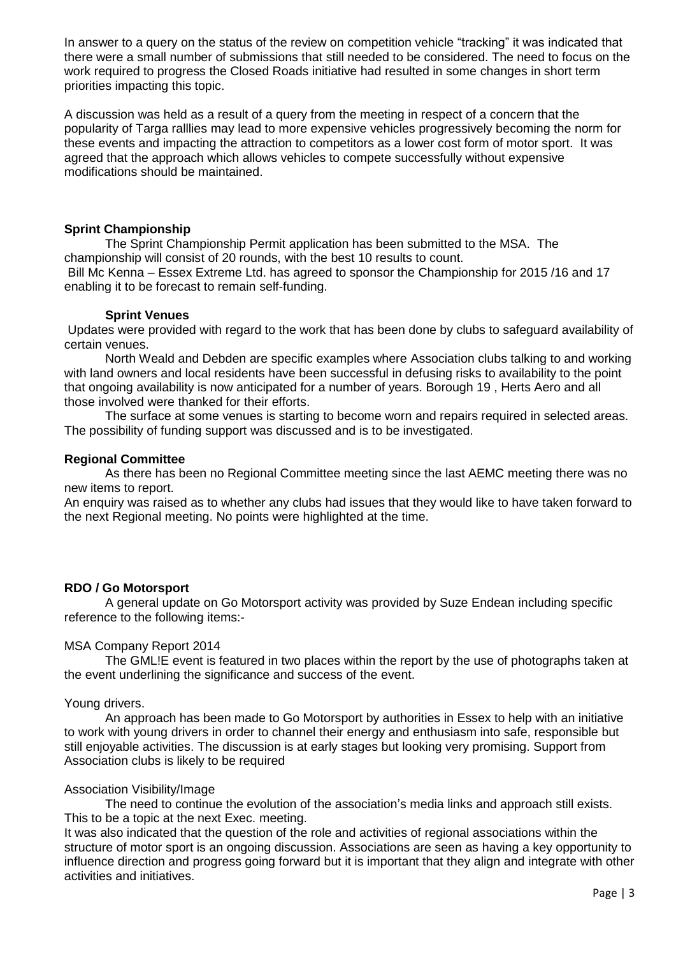In answer to a query on the status of the review on competition vehicle "tracking" it was indicated that there were a small number of submissions that still needed to be considered. The need to focus on the work required to progress the Closed Roads initiative had resulted in some changes in short term priorities impacting this topic.

A discussion was held as a result of a query from the meeting in respect of a concern that the popularity of Targa ralllies may lead to more expensive vehicles progressively becoming the norm for these events and impacting the attraction to competitors as a lower cost form of motor sport. It was agreed that the approach which allows vehicles to compete successfully without expensive modifications should be maintained.

### **Sprint Championship**

The Sprint Championship Permit application has been submitted to the MSA. The championship will consist of 20 rounds, with the best 10 results to count. Bill Mc Kenna – Essex Extreme Ltd. has agreed to sponsor the Championship for 2015 /16 and 17

enabling it to be forecast to remain self-funding.

#### **Sprint Venues**

Updates were provided with regard to the work that has been done by clubs to safeguard availability of certain venues.

North Weald and Debden are specific examples where Association clubs talking to and working with land owners and local residents have been successful in defusing risks to availability to the point that ongoing availability is now anticipated for a number of years. Borough 19 , Herts Aero and all those involved were thanked for their efforts.

The surface at some venues is starting to become worn and repairs required in selected areas. The possibility of funding support was discussed and is to be investigated.

### **Regional Committee**

As there has been no Regional Committee meeting since the last AEMC meeting there was no new items to report.

An enquiry was raised as to whether any clubs had issues that they would like to have taken forward to the next Regional meeting. No points were highlighted at the time.

# **RDO / Go Motorsport**

A general update on Go Motorsport activity was provided by Suze Endean including specific reference to the following items:-

#### MSA Company Report 2014

The GML!E event is featured in two places within the report by the use of photographs taken at the event underlining the significance and success of the event.

#### Young drivers.

An approach has been made to Go Motorsport by authorities in Essex to help with an initiative to work with young drivers in order to channel their energy and enthusiasm into safe, responsible but still enjoyable activities. The discussion is at early stages but looking very promising. Support from Association clubs is likely to be required

#### Association Visibility/Image

The need to continue the evolution of the association's media links and approach still exists. This to be a topic at the next Exec. meeting.

It was also indicated that the question of the role and activities of regional associations within the structure of motor sport is an ongoing discussion. Associations are seen as having a key opportunity to influence direction and progress going forward but it is important that they align and integrate with other activities and initiatives.